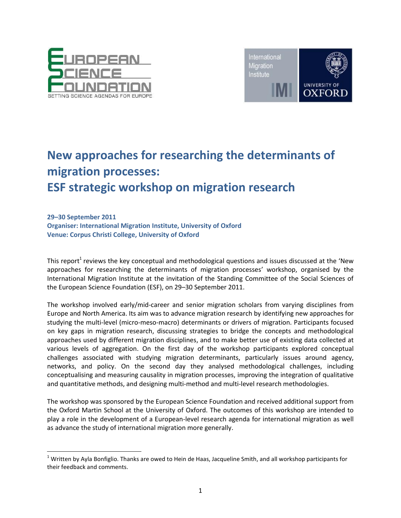

l



# **New approaches for researching the determinants of migration processes: ESF strategic workshop on migration research**

**29–30 September 2011 Organiser: International Migration Institute, University of Oxford Venue: Corpus Christi College, University of Oxford**

This report<sup>1</sup> reviews the key conceptual and methodological questions and issues discussed at the 'New approaches for researching the determinants of migration processes' workshop, organised by the International Migration Institute at the invitation of the Standing Committee of the Social Sciences of the European Science Foundation (ESF), on 29–30 September 2011.

The workshop involved early/mid-career and senior migration scholars from varying disciplines from Europe and North America. Its aim was to advance migration research by identifying new approaches for studying the multi-level (micro-meso-macro) determinants or drivers of migration. Participants focused on key gaps in migration research, discussing strategies to bridge the concepts and methodological approaches used by different migration disciplines, and to make better use of existing data collected at various levels of aggregation. On the first day of the workshop participants explored conceptual challenges associated with studying migration determinants, particularly issues around agency, networks, and policy. On the second day they analysed methodological challenges, including conceptualising and measuring causality in migration processes, improving the integration of qualitative and quantitative methods, and designing multi-method and multi-level research methodologies.

The workshop was sponsored by the European Science Foundation and received additional support from the Oxford Martin School at the University of Oxford. The outcomes of this workshop are intended to play a role in the development of a European-level research agenda for international migration as well as advance the study of international migration more generally.

 $1$  Written by Ayla Bonfiglio. Thanks are owed to Hein de Haas, Jacqueline Smith, and all workshop participants for their feedback and comments.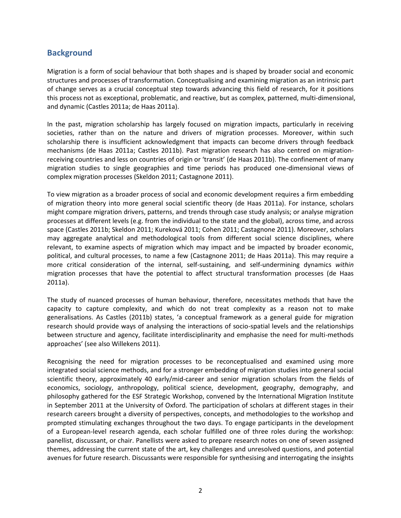# **Background**

Migration is a form of social behaviour that both shapes and is shaped by broader social and economic structures and processes of transformation. Conceptualising and examining migration as an intrinsic part of change serves as a crucial conceptual step towards advancing this field of research, for it positions this process not as exceptional, problematic, and reactive, but as complex, patterned, multi-dimensional, and dynamic (Castles 2011a; de Haas 2011a).

In the past, migration scholarship has largely focused on migration impacts, particularly in receiving societies, rather than on the nature and drivers of migration processes. Moreover, within such scholarship there is insufficient acknowledgment that impacts can become drivers through feedback mechanisms (de Haas 2011a; Castles 2011b). Past migration research has also centred on migrationreceiving countries and less on countries of origin or 'transit' (de Haas 2011b). The confinement of many migration studies to single geographies and time periods has produced one-dimensional views of complex migration processes (Skeldon 2011; Castagnone 2011).

To view migration as a broader process of social and economic development requires a firm embedding of migration theory into more general social scientific theory (de Haas 2011a). For instance, scholars might compare migration drivers, patterns, and trends through case study analysis; or analyse migration processes at different levels (e.g. from the individual to the state and the global), across time, and across space (Castles 2011b; Skeldon 2011; Kureková 2011; Cohen 2011; Castagnone 2011). Moreover, scholars may aggregate analytical and methodological tools from different social science disciplines, where relevant, to examine aspects of migration which may impact and be impacted by broader economic, political, and cultural processes, to name a few (Castagnone 2011; de Haas 2011a). This may require a more critical consideration of the internal, self-sustaining, and self-undermining dynamics *within* migration processes that have the potential to affect structural transformation processes (de Haas 2011a).

The study of nuanced processes of human behaviour, therefore, necessitates methods that have the capacity to capture complexity, and which do not treat complexity as a reason not to make generalisations. As Castles (2011b) states, 'a conceptual framework as a general guide for migration research should provide ways of analysing the interactions of socio-spatial levels and the relationships between structure and agency, facilitate interdisciplinarity and emphasise the need for multi-methods approaches' (see also Willekens 2011).

Recognising the need for migration processes to be reconceptualised and examined using more integrated social science methods, and for a stronger embedding of migration studies into general social scientific theory, approximately 40 early/mid-career and senior migration scholars from the fields of economics, sociology, anthropology, political science, development, geography, demography, and philosophy gathered for the ESF Strategic Workshop, convened by the International Migration Institute in September 2011 at the University of Oxford. The participation of scholars at different stages in their research careers brought a diversity of perspectives, concepts, and methodologies to the workshop and prompted stimulating exchanges throughout the two days. To engage participants in the development of a European-level research agenda, each scholar fulfilled one of three roles during the workshop: panellist, discussant, or chair. Panellists were asked to prepare research notes on one of seven assigned themes, addressing the current state of the art, key challenges and unresolved questions, and potential avenues for future research. Discussants were responsible for synthesising and interrogating the insights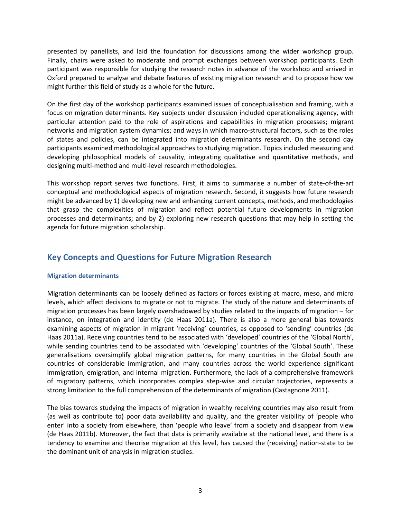presented by panellists, and laid the foundation for discussions among the wider workshop group. Finally, chairs were asked to moderate and prompt exchanges between workshop participants. Each participant was responsible for studying the research notes in advance of the workshop and arrived in Oxford prepared to analyse and debate features of existing migration research and to propose how we might further this field of study as a whole for the future.

On the first day of the workshop participants examined issues of conceptualisation and framing, with a focus on migration determinants. Key subjects under discussion included operationalising agency, with particular attention paid to the role of aspirations and capabilities in migration processes; migrant networks and migration system dynamics; and ways in which macro-structural factors, such as the roles of states and policies, can be integrated into migration determinants research. On the second day participants examined methodological approaches to studying migration. Topics included measuring and developing philosophical models of causality, integrating qualitative and quantitative methods, and designing multi-method and multi-level research methodologies.

This workshop report serves two functions. First, it aims to summarise a number of state-of-the-art conceptual and methodological aspects of migration research. Second, it suggests how future research might be advanced by 1) developing new and enhancing current concepts, methods, and methodologies that grasp the complexities of migration and reflect potential future developments in migration processes and determinants; and by 2) exploring new research questions that may help in setting the agenda for future migration scholarship.

# **Key Concepts and Questions for Future Migration Research**

## **Migration determinants**

Migration determinants can be loosely defined as factors or forces existing at macro, meso, and micro levels, which affect decisions to migrate or not to migrate. The study of the nature and determinants of migration processes has been largely overshadowed by studies related to the impacts of migration – for instance, on integration and identity (de Haas 2011a). There is also a more general bias towards examining aspects of migration in migrant 'receiving' countries, as opposed to 'sending' countries (de Haas 2011a). Receiving countries tend to be associated with 'developed' countries of the 'Global North', while sending countries tend to be associated with 'developing' countries of the 'Global South'. These generalisations oversimplify global migration patterns, for many countries in the Global South are countries of considerable immigration, and many countries across the world experience significant immigration, emigration, and internal migration. Furthermore, the lack of a comprehensive framework of migratory patterns, which incorporates complex step-wise and circular trajectories, represents a strong limitation to the full comprehension of the determinants of migration (Castagnone 2011).

The bias towards studying the impacts of migration in wealthy receiving countries may also result from (as well as contribute to) poor data availability and quality, and the greater visibility of 'people who enter' into a society from elsewhere, than 'people who leave' from a society and disappear from view (de Haas 2011b). Moreover, the fact that data is primarily available at the national level, and there is a tendency to examine and theorise migration at this level, has caused the (receiving) nation-state to be the dominant unit of analysis in migration studies.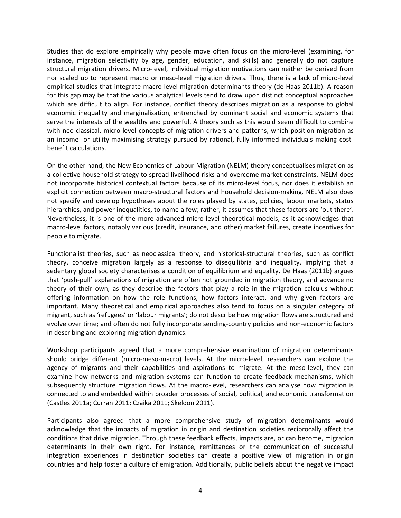Studies that do explore empirically why people move often focus on the micro-level (examining, for instance, migration selectivity by age, gender, education, and skills) and generally do not capture structural migration drivers. Micro-level, individual migration motivations can neither be derived from nor scaled up to represent macro or meso-level migration drivers. Thus, there is a lack of micro-level empirical studies that integrate macro-level migration determinants theory (de Haas 2011b). A reason for this gap may be that the various analytical levels tend to draw upon distinct conceptual approaches which are difficult to align. For instance, conflict theory describes migration as a response to global economic inequality and marginalisation, entrenched by dominant social and economic systems that serve the interests of the wealthy and powerful. A theory such as this would seem difficult to combine with neo-classical, micro-level concepts of migration drivers and patterns, which position migration as an income- or utility-maximising strategy pursued by rational, fully informed individuals making costbenefit calculations.

On the other hand, the New Economics of Labour Migration (NELM) theory conceptualises migration as a collective household strategy to spread livelihood risks and overcome market constraints. NELM does not incorporate historical contextual factors because of its micro-level focus, nor does it establish an explicit connection between macro-structural factors and household decision-making. NELM also does not specify and develop hypotheses about the roles played by states, policies, labour markets, status hierarchies, and power inequalities, to name a few; rather, it assumes that these factors are 'out there'. Nevertheless, it is one of the more advanced micro-level theoretical models, as it acknowledges that macro-level factors, notably various (credit, insurance, and other) market failures, create incentives for people to migrate.

Functionalist theories, such as neoclassical theory, and historical-structural theories, such as conflict theory, conceive migration largely as a response to disequilibria and inequality, implying that a sedentary global society characterises a condition of equilibrium and equality. De Haas (2011b) argues that 'push-pull' explanations of migration are often not grounded in migration theory, and advance no theory of their own, as they describe the factors that play a role in the migration calculus without offering information on how the role functions, how factors interact, and why given factors are important. Many theoretical and empirical approaches also tend to focus on a singular category of migrant, such as 'refugees' or 'labour migrants'; do not describe how migration flows are structured and evolve over time; and often do not fully incorporate sending-country policies and non-economic factors in describing and exploring migration dynamics.

Workshop participants agreed that a more comprehensive examination of migration determinants should bridge different (micro-meso-macro) levels. At the micro-level, researchers can explore the agency of migrants and their capabilities and aspirations to migrate. At the meso-level, they can examine how networks and migration systems can function to create feedback mechanisms, which subsequently structure migration flows. At the macro-level, researchers can analyse how migration is connected to and embedded within broader processes of social, political, and economic transformation (Castles 2011a; Curran 2011; Czaika 2011; Skeldon 2011).

Participants also agreed that a more comprehensive study of migration determinants would acknowledge that the impacts of migration in origin and destination societies reciprocally affect the conditions that drive migration. Through these feedback effects, impacts are, or can become, migration determinants in their own right. For instance, remittances or the communication of successful integration experiences in destination societies can create a positive view of migration in origin countries and help foster a culture of emigration. Additionally, public beliefs about the negative impact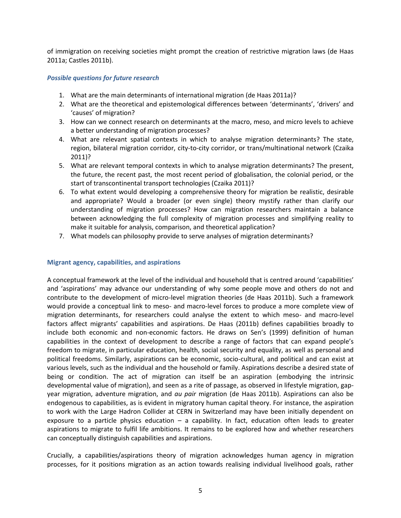of immigration on receiving societies might prompt the creation of restrictive migration laws (de Haas 2011a; Castles 2011b).

#### *Possible questions for future research*

- 1. What are the main determinants of international migration (de Haas 2011a)?
- 2. What are the theoretical and epistemological differences between 'determinants', 'drivers' and 'causes' of migration?
- 3. How can we connect research on determinants at the macro, meso, and micro levels to achieve a better understanding of migration processes?
- 4. What are relevant spatial contexts in which to analyse migration determinants? The state, region, bilateral migration corridor, city-to-city corridor, or trans/multinational network (Czaika 2011)?
- 5. What are relevant temporal contexts in which to analyse migration determinants? The present, the future, the recent past, the most recent period of globalisation, the colonial period, or the start of transcontinental transport technologies (Czaika 2011)?
- 6. To what extent would developing a comprehensive theory for migration be realistic, desirable and appropriate? Would a broader (or even single) theory mystify rather than clarify our understanding of migration processes? How can migration researchers maintain a balance between acknowledging the full complexity of migration processes and simplifying reality to make it suitable for analysis, comparison, and theoretical application?
- 7. What models can philosophy provide to serve analyses of migration determinants?

#### **Migrant agency, capabilities, and aspirations**

A conceptual framework at the level of the individual and household that is centred around 'capabilities' and 'aspirations' may advance our understanding of why some people move and others do not and contribute to the development of micro-level migration theories (de Haas 2011b). Such a framework would provide a conceptual link to meso- and macro-level forces to produce a more complete view of migration determinants, for researchers could analyse the extent to which meso- and macro-level factors affect migrants' capabilities and aspirations. De Haas (2011b) defines capabilities broadly to include both economic and non-economic factors. He draws on Sen's (1999) definition of human capabilities in the context of development to describe a range of factors that can expand people's freedom to migrate, in particular education, health, social security and equality, as well as personal and political freedoms. Similarly, aspirations can be economic, socio-cultural, and political and can exist at various levels, such as the individual and the household or family. Aspirations describe a desired state of being or condition. The act of migration can itself be an aspiration (embodying the intrinsic developmental value of migration), and seen as a rite of passage, as observed in lifestyle migration, gapyear migration, adventure migration, and *au pair* migration (de Haas 2011b). Aspirations can also be endogenous to capabilities, as is evident in migratory human capital theory. For instance, the aspiration to work with the Large Hadron Collider at CERN in Switzerland may have been initially dependent on exposure to a particle physics education  $-$  a capability. In fact, education often leads to greater aspirations to migrate to fulfil life ambitions. It remains to be explored how and whether researchers can conceptually distinguish capabilities and aspirations.

Crucially, a capabilities/aspirations theory of migration acknowledges human agency in migration processes, for it positions migration as an action towards realising individual livelihood goals, rather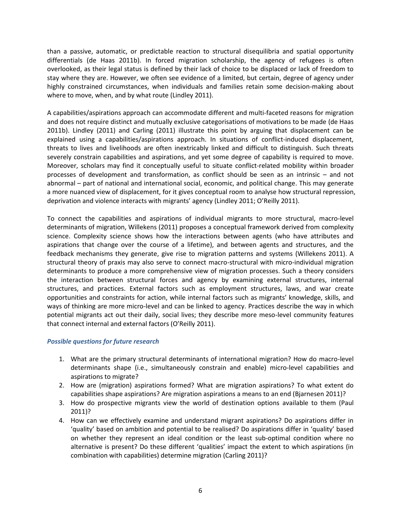than a passive, automatic, or predictable reaction to structural disequilibria and spatial opportunity differentials (de Haas 2011b). In forced migration scholarship, the agency of refugees is often overlooked, as their legal status is defined by their lack of choice to be displaced or lack of freedom to stay where they are. However, we often see evidence of a limited, but certain, degree of agency under highly constrained circumstances, when individuals and families retain some decision-making about where to move, when, and by what route (Lindley 2011).

A capabilities/aspirations approach can accommodate different and multi-faceted reasons for migration and does not require distinct and mutually exclusive categorisations of motivations to be made (de Haas 2011b). Lindley (2011) and Carling (2011) illustrate this point by arguing that displacement can be explained using a capabilities/aspirations approach. In situations of conflict-induced displacement, threats to lives and livelihoods are often inextricably linked and difficult to distinguish. Such threats severely constrain capabilities and aspirations, and yet some degree of capability is required to move. Moreover, scholars may find it conceptually useful to situate conflict-related mobility within broader processes of development and transformation, as conflict should be seen as an intrinsic – and not abnormal – part of national and international social, economic, and political change. This may generate a more nuanced view of displacement, for it gives conceptual room to analyse how structural repression, deprivation and violence interacts with migrants' agency (Lindley 2011; O'Reilly 2011).

To connect the capabilities and aspirations of individual migrants to more structural, macro-level determinants of migration, Willekens (2011) proposes a conceptual framework derived from complexity science. Complexity science shows how the interactions between agents (who have attributes and aspirations that change over the course of a lifetime), and between agents and structures, and the feedback mechanisms they generate, give rise to migration patterns and systems (Willekens 2011). A structural theory of praxis may also serve to connect macro-structural with micro-individual migration determinants to produce a more comprehensive view of migration processes. Such a theory considers the interaction between structural forces and agency by examining external structures, internal structures, and practices. External factors such as employment structures, laws, and war create opportunities and constraints for action, while internal factors such as migrants' knowledge, skills, and ways of thinking are more micro-level and can be linked to agency. Practices describe the way in which potential migrants act out their daily, social lives; they describe more meso-level community features that connect internal and external factors (O'Reilly 2011).

## *Possible questions for future research*

- 1. What are the primary structural determinants of international migration? How do macro-level determinants shape (i.e., simultaneously constrain and enable) micro-level capabilities and aspirations to migrate?
- 2. How are (migration) aspirations formed? What are migration aspirations? To what extent do capabilities shape aspirations? Are migration aspirations a means to an end (Bjarnesen 2011)?
- 3. How do prospective migrants view the world of destination options available to them (Paul 2011)?
- 4. How can we effectively examine and understand migrant aspirations? Do aspirations differ in 'quality' based on ambition and potential to be realised? Do aspirations differ in 'quality' based on whether they represent an ideal condition or the least sub-optimal condition where no alternative is present? Do these different 'qualities' impact the extent to which aspirations (in combination with capabilities) determine migration (Carling 2011)?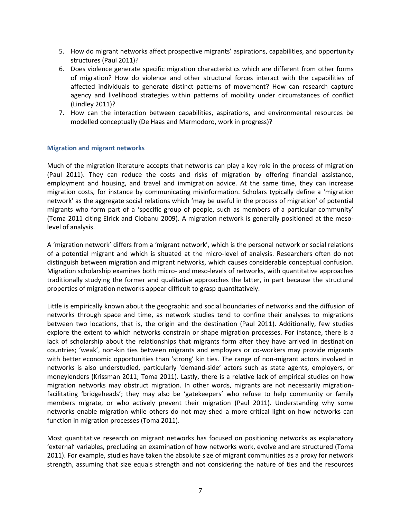- 5. How do migrant networks affect prospective migrants' aspirations, capabilities, and opportunity structures (Paul 2011)?
- 6. Does violence generate specific migration characteristics which are different from other forms of migration? How do violence and other structural forces interact with the capabilities of affected individuals to generate distinct patterns of movement? How can research capture agency and livelihood strategies within patterns of mobility under circumstances of conflict (Lindley 2011)?
- 7. How can the interaction between capabilities, aspirations, and environmental resources be modelled conceptually (De Haas and Marmodoro, work in progress)?

#### **Migration and migrant networks**

Much of the migration literature accepts that networks can play a key role in the process of migration (Paul 2011). They can reduce the costs and risks of migration by offering financial assistance, employment and housing, and travel and immigration advice. At the same time, they can increase migration costs, for instance by communicating misinformation. Scholars typically define a 'migration network' as the aggregate social relations which 'may be useful in the process of migration' of potential migrants who form part of a 'specific group of people, such as members of a particular community' (Toma 2011 citing Elrick and Ciobanu 2009). A migration network is generally positioned at the mesolevel of analysis.

A 'migration network' differs from a 'migrant network', which is the personal network or social relations of a potential migrant and which is situated at the micro-level of analysis. Researchers often do not distinguish between migration and migrant networks, which causes considerable conceptual confusion. Migration scholarship examines both micro- and meso-levels of networks, with quantitative approaches traditionally studying the former and qualitative approaches the latter, in part because the structural properties of migration networks appear difficult to grasp quantitatively.

Little is empirically known about the geographic and social boundaries of networks and the diffusion of networks through space and time, as network studies tend to confine their analyses to migrations between two locations, that is, the origin and the destination (Paul 2011). Additionally, few studies explore the extent to which networks constrain or shape migration processes. For instance, there is a lack of scholarship about the relationships that migrants form after they have arrived in destination countries; 'weak', non-kin ties between migrants and employers or co-workers may provide migrants with better economic opportunities than 'strong' kin ties. The range of non-migrant actors involved in networks is also understudied, particularly 'demand-side' actors such as state agents, employers, or moneylenders (Krissman 2011; Toma 2011). Lastly, there is a relative lack of empirical studies on how migration networks may obstruct migration. In other words, migrants are not necessarily migrationfacilitating 'bridgeheads'; they may also be 'gatekeepers' who refuse to help community or family members migrate, or who actively prevent their migration (Paul 2011). Understanding why some networks enable migration while others do not may shed a more critical light on how networks can function in migration processes (Toma 2011).

Most quantitative research on migrant networks has focused on positioning networks as explanatory 'external' variables, precluding an examination of how networks work, evolve and are structured (Toma 2011). For example, studies have taken the absolute size of migrant communities as a proxy for network strength, assuming that size equals strength and not considering the nature of ties and the resources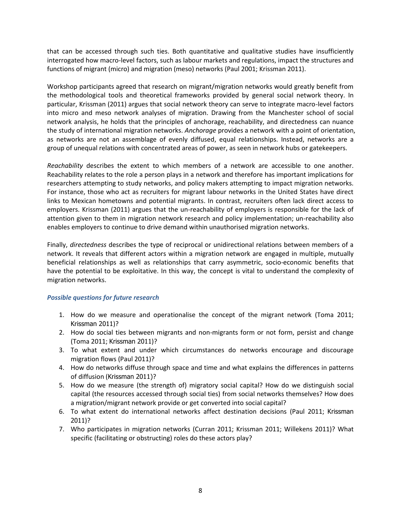that can be accessed through such ties. Both quantitative and qualitative studies have insufficiently interrogated how macro-level factors, such as labour markets and regulations, impact the structures and functions of migrant (micro) and migration (meso) networks (Paul 2001; Krissman 2011).

Workshop participants agreed that research on migrant/migration networks would greatly benefit from the methodological tools and theoretical frameworks provided by general social network theory. In particular, Krissman (2011) argues that social network theory can serve to integrate macro-level factors into micro and meso network analyses of migration. Drawing from the Manchester school of social network analysis, he holds that the principles of anchorage, reachability, and directedness can nuance the study of international migration networks. *Anchorage* provides a network with a point of orientation, as networks are not an assemblage of evenly diffused, equal relationships. Instead, networks are a group of unequal relations with concentrated areas of power, as seen in network hubs or gatekeepers.

*Reachability* describes the extent to which members of a network are accessible to one another. Reachability relates to the role a person plays in a network and therefore has important implications for researchers attempting to study networks, and policy makers attempting to impact migration networks. For instance, those who act as recruiters for migrant labour networks in the United States have direct links to Mexican hometowns and potential migrants. In contrast, recruiters often lack direct access to employers. Krissman (2011) argues that the un-reachability of employers is responsible for the lack of attention given to them in migration network research and policy implementation; un-reachability also enables employers to continue to drive demand within unauthorised migration networks.

Finally, *directedness* describes the type of reciprocal or unidirectional relations between members of a network. It reveals that different actors within a migration network are engaged in multiple, mutually beneficial relationships as well as relationships that carry asymmetric, socio-economic benefits that have the potential to be exploitative. In this way, the concept is vital to understand the complexity of migration networks.

## *Possible questions for future research*

- 1. How do we measure and operationalise the concept of the migrant network (Toma 2011; Krissman 2011)?
- 2. How do social ties between migrants and non-migrants form or not form, persist and change (Toma 2011; Krissman 2011)?
- 3. To what extent and under which circumstances do networks encourage and discourage migration flows (Paul 2011)?
- 4. How do networks diffuse through space and time and what explains the differences in patterns of diffusion (Krissman 2011)?
- 5. How do we measure (the strength of) migratory social capital? How do we distinguish social capital (the resources accessed through social ties) from social networks themselves? How does a migration/migrant network provide or get converted into social capital?
- 6. To what extent do international networks affect destination decisions (Paul 2011; Krissman 2011)?
- 7. Who participates in migration networks (Curran 2011; Krissman 2011; Willekens 2011)? What specific (facilitating or obstructing) roles do these actors play?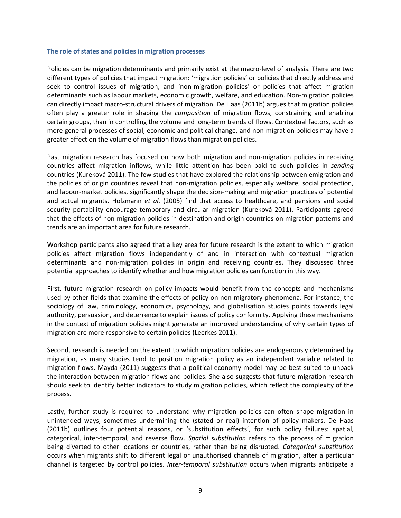#### **The role of states and policies in migration processes**

Policies can be migration determinants and primarily exist at the macro-level of analysis. There are two different types of policies that impact migration: 'migration policies' or policies that directly address and seek to control issues of migration, and 'non-migration policies' or policies that affect migration determinants such as labour markets, economic growth, welfare, and education. Non-migration policies can directly impact macro-structural drivers of migration. De Haas (2011b) argues that migration policies often play a greater role in shaping the *composition* of migration flows, constraining and enabling certain groups, than in controlling the volume and long-term trends of flows. Contextual factors, such as more general processes of social, economic and political change, and non-migration policies may have a greater effect on the volume of migration flows than migration policies.

Past migration research has focused on how both migration and non-migration policies in receiving countries affect migration inflows, while little attention has been paid to such policies in *sending* countries (Kureková 2011). The few studies that have explored the relationship between emigration and the policies of origin countries reveal that non-migration policies, especially welfare, social protection, and labour-market policies, significantly shape the decision-making and migration practices of potential and actual migrants. Holzmann *et al.* (2005) find that access to healthcare, and pensions and social security portability encourage temporary and circular migration (Kureková 2011). Participants agreed that the effects of non-migration policies in destination and origin countries on migration patterns and trends are an important area for future research.

Workshop participants also agreed that a key area for future research is the extent to which migration policies affect migration flows independently of and in interaction with contextual migration determinants and non-migration policies in origin and receiving countries. They discussed three potential approaches to identify whether and how migration policies can function in this way.

First, future migration research on policy impacts would benefit from the concepts and mechanisms used by other fields that examine the effects of policy on non-migratory phenomena. For instance, the sociology of law, criminology, economics, psychology, and globalisation studies points towards legal authority, persuasion, and deterrence to explain issues of policy conformity. Applying these mechanisms in the context of migration policies might generate an improved understanding of why certain types of migration are more responsive to certain policies (Leerkes 2011).

Second, research is needed on the extent to which migration policies are endogenously determined by migration, as many studies tend to position migration policy as an independent variable related to migration flows. Mayda (2011) suggests that a political-economy model may be best suited to unpack the interaction between migration flows and policies. She also suggests that future migration research should seek to identify better indicators to study migration policies, which reflect the complexity of the process.

Lastly, further study is required to understand why migration policies can often shape migration in unintended ways, sometimes undermining the (stated or real) intention of policy makers. De Haas (2011b) outlines four potential reasons, or 'substitution effects', for such policy failures: spatial, categorical, inter-temporal, and reverse flow. *Spatial substitution* refers to the process of migration being diverted to other locations or countries, rather than being disrupted. *Categorical substitution* occurs when migrants shift to different legal or unauthorised channels of migration, after a particular channel is targeted by control policies. *Inter-temporal substitution* occurs when migrants anticipate a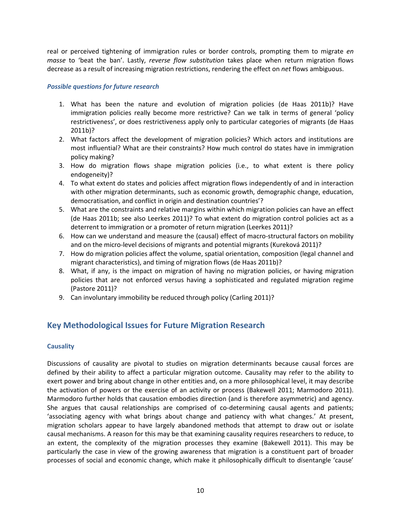real or perceived tightening of immigration rules or border controls, prompting them to migrate *en masse* to 'beat the ban'. Lastly, *reverse flow substitution* takes place when return migration flows decrease as a result of increasing migration restrictions, rendering the effect on *net* flows ambiguous.

## *Possible questions for future research*

- 1. What has been the nature and evolution of migration policies (de Haas 2011b)? Have immigration policies really become more restrictive? Can we talk in terms of general 'policy restrictiveness', or does restrictiveness apply only to particular categories of migrants (de Haas 2011b)?
- 2. What factors affect the development of migration policies? Which actors and institutions are most influential? What are their constraints? How much control do states have in immigration policy making?
- 3. How do migration flows shape migration policies (i.e., to what extent is there policy endogeneity)?
- 4. To what extent do states and policies affect migration flows independently of and in interaction with other migration determinants, such as economic growth, demographic change, education, democratisation, and conflict in origin and destination countries'?
- 5. What are the constraints and relative margins within which migration policies can have an effect (de Haas 2011b; see also Leerkes 2011)? To what extent do migration control policies act as a deterrent to immigration or a promoter of return migration (Leerkes 2011)?
- 6. How can we understand and measure the (causal) effect of macro-structural factors on mobility and on the micro-level decisions of migrants and potential migrants (Kureková 2011)?
- 7. How do migration policies affect the volume, spatial orientation, composition (legal channel and migrant characteristics), and timing of migration flows (de Haas 2011b)?
- 8. What, if any, is the impact on migration of having no migration policies, or having migration policies that are not enforced versus having a sophisticated and regulated migration regime (Pastore 2011)?
- 9. Can involuntary immobility be reduced through policy (Carling 2011)?

# **Key Methodological Issues for Future Migration Research**

## **Causality**

Discussions of causality are pivotal to studies on migration determinants because causal forces are defined by their ability to affect a particular migration outcome. Causality may refer to the ability to exert power and bring about change in other entities and, on a more philosophical level, it may describe the activation of powers or the exercise of an activity or process (Bakewell 2011; Marmodoro 2011). Marmodoro further holds that causation embodies direction (and is therefore asymmetric) and agency. She argues that causal relationships are comprised of co-determining causal agents and patients; 'associating agency with what brings about change and patiency with what changes.' At present, migration scholars appear to have largely abandoned methods that attempt to draw out or isolate causal mechanisms. A reason for this may be that examining causality requires researchers to reduce, to an extent, the complexity of the migration processes they examine (Bakewell 2011). This may be particularly the case in view of the growing awareness that migration is a constituent part of broader processes of social and economic change, which make it philosophically difficult to disentangle 'cause'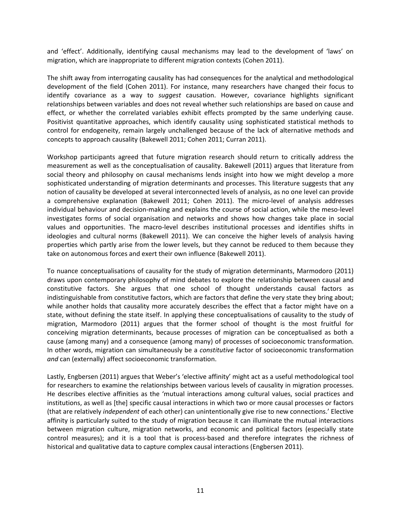and 'effect'. Additionally, identifying causal mechanisms may lead to the development of 'laws' on migration, which are inappropriate to different migration contexts (Cohen 2011).

The shift away from interrogating causality has had consequences for the analytical and methodological development of the field (Cohen 2011). For instance, many researchers have changed their focus to identify covariance as a way to *suggest* causation. However, covariance highlights significant relationships between variables and does not reveal whether such relationships are based on cause and effect, or whether the correlated variables exhibit effects prompted by the same underlying cause. Positivist quantitative approaches, which identify causality using sophisticated statistical methods to control for endogeneity, remain largely unchallenged because of the lack of alternative methods and concepts to approach causality (Bakewell 2011; Cohen 2011; Curran 2011).

Workshop participants agreed that future migration research should return to critically address the measurement as well as the conceptualisation of causality. Bakewell (2011) argues that literature from social theory and philosophy on causal mechanisms lends insight into how we might develop a more sophisticated understanding of migration determinants and processes. This literature suggests that any notion of causality be developed at several interconnected levels of analysis, as no one level can provide a comprehensive explanation (Bakewell 2011; Cohen 2011). The micro-level of analysis addresses individual behaviour and decision-making and explains the course of social action, while the meso-level investigates forms of social organisation and networks and shows how changes take place in social values and opportunities. The macro-level describes institutional processes and identifies shifts in ideologies and cultural norms (Bakewell 2011). We can conceive the higher levels of analysis having properties which partly arise from the lower levels, but they cannot be reduced to them because they take on autonomous forces and exert their own influence (Bakewell 2011).

To nuance conceptualisations of causality for the study of migration determinants, Marmodoro (2011) draws upon contemporary philosophy of mind debates to explore the relationship between causal and constitutive factors. She argues that one school of thought understands causal factors as indistinguishable from constitutive factors, which are factors that define the very state they bring about; while another holds that causality more accurately describes the effect that a factor might have on a state, without defining the state itself. In applying these conceptualisations of causality to the study of migration, Marmodoro (2011) argues that the former school of thought is the most fruitful for conceiving migration determinants, because processes of migration can be conceptualised as both a cause (among many) and a consequence (among many) of processes of socioeconomic transformation. In other words, migration can simultaneously be a *constitutive* factor of socioeconomic transformation *and* can (externally) affect socioeconomic transformation.

Lastly, Engbersen (2011) argues that Weber's 'elective affinity' might act as a useful methodological tool for researchers to examine the relationships between various levels of causality in migration processes. He describes elective affinities as the 'mutual interactions among cultural values, social practices and institutions, as well as [the] specific causal interactions in which two or more causal processes or factors (that are relatively *independent* of each other) can unintentionally give rise to new connections.' Elective affinity is particularly suited to the study of migration because it can illuminate the mutual interactions between migration culture, migration networks, and economic and political factors (especially state control measures); and it is a tool that is process-based and therefore integrates the richness of historical and qualitative data to capture complex causal interactions (Engbersen 2011).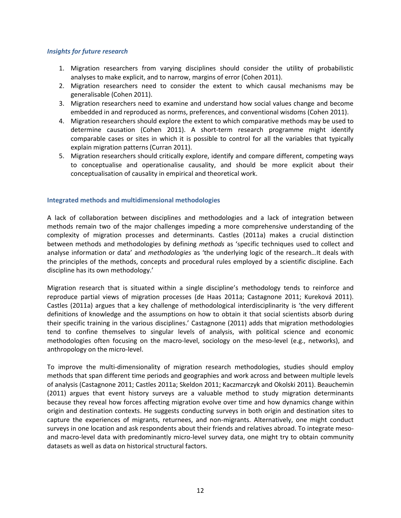#### *Insights for future research*

- 1. Migration researchers from varying disciplines should consider the utility of probabilistic analyses to make explicit, and to narrow, margins of error (Cohen 2011).
- 2. Migration researchers need to consider the extent to which causal mechanisms may be generalisable (Cohen 2011).
- 3. Migration researchers need to examine and understand how social values change and become embedded in and reproduced as norms, preferences, and conventional wisdoms (Cohen 2011).
- 4. Migration researchers should explore the extent to which comparative methods may be used to determine causation (Cohen 2011). A short-term research programme might identify comparable cases or sites in which it is possible to control for all the variables that typically explain migration patterns (Curran 2011).
- 5. Migration researchers should critically explore, identify and compare different, competing ways to conceptualise and operationalise causality, and should be more explicit about their conceptualisation of causality in empirical and theoretical work.

## **Integrated methods and multidimensional methodologies**

A lack of collaboration between disciplines and methodologies and a lack of integration between methods remain two of the major challenges impeding a more comprehensive understanding of the complexity of migration processes and determinants. Castles (2011a) makes a crucial distinction between methods and methodologies by defining *methods* as 'specific techniques used to collect and analyse information or data' and *methodologies* as 'the underlying logic of the research…It deals with the principles of the methods, concepts and procedural rules employed by a scientific discipline. Each discipline has its own methodology.'

Migration research that is situated within a single discipline's methodology tends to reinforce and reproduce partial views of migration processes (de Haas 2011a; Castagnone 2011; Kureková 2011). Castles (2011a) argues that a key challenge of methodological interdisciplinarity is 'the very different definitions of knowledge and the assumptions on how to obtain it that social scientists absorb during their specific training in the various disciplines.' Castagnone (2011) adds that migration methodologies tend to confine themselves to singular levels of analysis, with political science and economic methodologies often focusing on the macro-level, sociology on the meso-level (e.g., networks), and anthropology on the micro-level.

To improve the multi-dimensionality of migration research methodologies, studies should employ methods that span different time periods and geographies and work across and between multiple levels of analysis (Castagnone 2011; Castles 2011a; Skeldon 2011; Kaczmarczyk and Okolski 2011). Beauchemin (2011) argues that event history surveys are a valuable method to study migration determinants because they reveal how forces affecting migration evolve over time and how dynamics change within origin and destination contexts. He suggests conducting surveys in both origin and destination sites to capture the experiences of migrants, returnees, and non-migrants. Alternatively, one might conduct surveys in one location and ask respondents about their friends and relatives abroad. To integrate mesoand macro-level data with predominantly micro-level survey data, one might try to obtain community datasets as well as data on historical structural factors.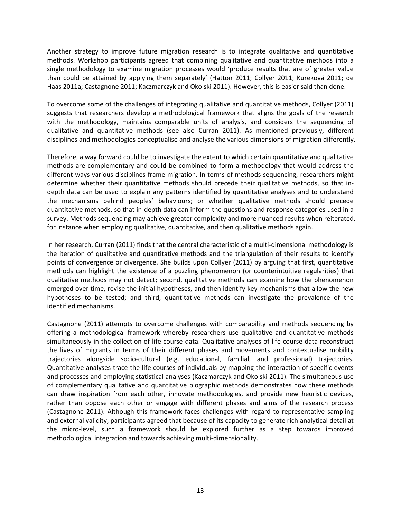Another strategy to improve future migration research is to integrate qualitative and quantitative methods. Workshop participants agreed that combining qualitative and quantitative methods into a single methodology to examine migration processes would 'produce results that are of greater value than could be attained by applying them separately' (Hatton 2011; Collyer 2011; Kureková 2011; de Haas 2011a; Castagnone 2011; Kaczmarczyk and Okolski 2011). However, this is easier said than done.

To overcome some of the challenges of integrating qualitative and quantitative methods, Collyer (2011) suggests that researchers develop a methodological framework that aligns the goals of the research with the methodology, maintains comparable units of analysis, and considers the sequencing of qualitative and quantitative methods (see also Curran 2011). As mentioned previously, different disciplines and methodologies conceptualise and analyse the various dimensions of migration differently.

Therefore, a way forward could be to investigate the extent to which certain quantitative and qualitative methods are complementary and could be combined to form a methodology that would address the different ways various disciplines frame migration. In terms of methods sequencing, researchers might determine whether their quantitative methods should precede their qualitative methods, so that indepth data can be used to explain any patterns identified by quantitative analyses and to understand the mechanisms behind peoples' behaviours; or whether qualitative methods should precede quantitative methods, so that in-depth data can inform the questions and response categories used in a survey. Methods sequencing may achieve greater complexity and more nuanced results when reiterated, for instance when employing qualitative, quantitative, and then qualitative methods again.

In her research, Curran (2011) finds that the central characteristic of a multi-dimensional methodology is the iteration of qualitative and quantitative methods and the triangulation of their results to identify points of convergence or divergence. She builds upon Collyer (2011) by arguing that first, quantitative methods can highlight the existence of a puzzling phenomenon (or counterintuitive regularities) that qualitative methods may not detect; second, qualitative methods can examine how the phenomenon emerged over time, revise the initial hypotheses, and then identify key mechanisms that allow the new hypotheses to be tested; and third, quantitative methods can investigate the prevalence of the identified mechanisms.

Castagnone (2011) attempts to overcome challenges with comparability and methods sequencing by offering a methodological framework whereby researchers use qualitative and quantitative methods simultaneously in the collection of life course data. Qualitative analyses of life course data reconstruct the lives of migrants in terms of their different phases and movements and contextualise mobility trajectories alongside socio-cultural (e.g. educational, familial, and professional) trajectories. Quantitative analyses trace the life courses of individuals by mapping the interaction of specific events and processes and employing statistical analyses (Kaczmarczyk and Okolski 2011). The simultaneous use of complementary qualitative and quantitative biographic methods demonstrates how these methods can draw inspiration from each other, innovate methodologies, and provide new heuristic devices, rather than oppose each other or engage with different phases and aims of the research process (Castagnone 2011). Although this framework faces challenges with regard to representative sampling and external validity, participants agreed that because of its capacity to generate rich analytical detail at the micro-level, such a framework should be explored further as a step towards improved methodological integration and towards achieving multi-dimensionality.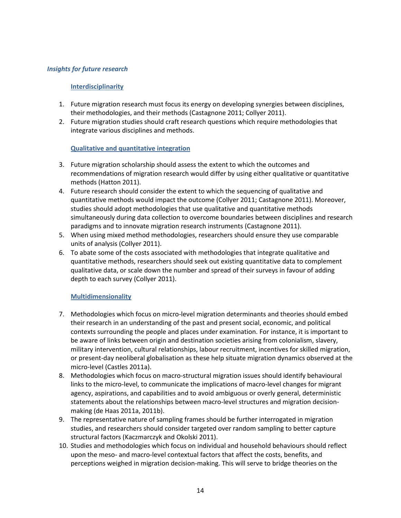#### *Insights for future research*

#### **Interdisciplinarity**

- 1. Future migration research must focus its energy on developing synergies between disciplines, their methodologies, and their methods (Castagnone 2011; Collyer 2011).
- 2. Future migration studies should craft research questions which require methodologies that integrate various disciplines and methods.

## **Qualitative and quantitative integration**

- 3. Future migration scholarship should assess the extent to which the outcomes and recommendations of migration research would differ by using either qualitative or quantitative methods (Hatton 2011).
- 4. Future research should consider the extent to which the sequencing of qualitative and quantitative methods would impact the outcome (Collyer 2011; Castagnone 2011). Moreover, studies should adopt methodologies that use qualitative and quantitative methods simultaneously during data collection to overcome boundaries between disciplines and research paradigms and to innovate migration research instruments (Castagnone 2011).
- 5. When using mixed method methodologies, researchers should ensure they use comparable units of analysis (Collyer 2011).
- 6. To abate some of the costs associated with methodologies that integrate qualitative and quantitative methods, researchers should seek out existing quantitative data to complement qualitative data, or scale down the number and spread of their surveys in favour of adding depth to each survey (Collyer 2011).

## **Multidimensionality**

- 7. Methodologies which focus on micro-level migration determinants and theories should embed their research in an understanding of the past and present social, economic, and political contexts surrounding the people and places under examination. For instance, it is important to be aware of links between origin and destination societies arising from colonialism, slavery, military intervention, cultural relationships, labour recruitment, incentives for skilled migration, or present-day neoliberal globalisation as these help situate migration dynamics observed at the micro-level (Castles 2011a).
- 8. Methodologies which focus on macro-structural migration issues should identify behavioural links to the micro-level, to communicate the implications of macro-level changes for migrant agency, aspirations, and capabilities and to avoid ambiguous or overly general, deterministic statements about the relationships between macro-level structures and migration decisionmaking (de Haas 2011a, 2011b).
- 9. The representative nature of sampling frames should be further interrogated in migration studies, and researchers should consider targeted over random sampling to better capture structural factors (Kaczmarczyk and Okolski 2011).
- 10. Studies and methodologies which focus on individual and household behaviours should reflect upon the meso- and macro-level contextual factors that affect the costs, benefits, and perceptions weighed in migration decision-making. This will serve to bridge theories on the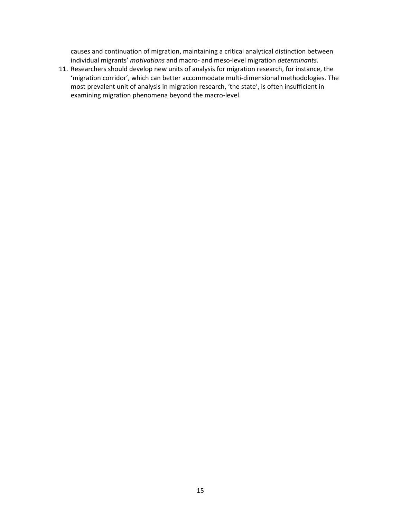causes and continuation of migration, maintaining a critical analytical distinction between individual migrants' *motivations* and macro- and meso-level migration *determinants*.

11. Researchers should develop new units of analysis for migration research, for instance, the 'migration corridor', which can better accommodate multi-dimensional methodologies. The most prevalent unit of analysis in migration research, 'the state', is often insufficient in examining migration phenomena beyond the macro-level.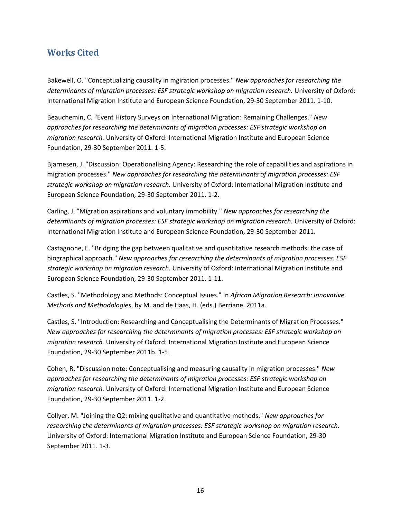# **Works Cited**

Bakewell, O. "Conceptualizing causality in mgiration processes." *New approaches for researching the determinants of migration processes: ESF strategic workshop on migration research.* University of Oxford: International Migration Institute and European Science Foundation, 29-30 September 2011. 1-10.

Beauchemin, C. "Event History Surveys on International Migration: Remaining Challenges." *New approaches for researching the determinants of migration processes: ESF strategic workshop on migration research.* University of Oxford: International Migration Institute and European Science Foundation, 29-30 September 2011. 1-5.

Bjarnesen, J. "Discussion: Operationalising Agency: Researching the role of capabilities and aspirations in migration processes." *New approaches for researching the determinants of migration processes: ESF strategic workshop on migration research.* University of Oxford: International Migration Institute and European Science Foundation, 29-30 September 2011. 1-2.

Carling, J. "Migration aspirations and voluntary immobility." *New approaches for researching the determinants of migration processes: ESF strategic workshop on migration research.* University of Oxford: International Migration Institute and European Science Foundation, 29-30 September 2011.

Castagnone, E. "Bridging the gap between qualitative and quantitative research methods: the case of biographical approach." *New approaches for researching the determinants of migration processes: ESF strategic workshop on migration research.* University of Oxford: International Migration Institute and European Science Foundation, 29-30 September 2011. 1-11.

Castles, S. "Methodology and Methods: Conceptual Issues." In *African Migration Research: Innovative Methods and Methodologies*, by M. and de Haas, H. (eds.) Berriane. 2011a.

Castles, S. "Introduction: Researching and Conceptualising the Determinants of Migration Processes." *New approaches for researching the determinants of migration processes: ESF strategic workshop on migration research.* University of Oxford: International Migration Institute and European Science Foundation, 29-30 September 2011b. 1-5.

Cohen, R. "Discussion note: Conceptualising and measuring causality in migration processes." *New approaches for researching the determinants of migration processes: ESF strategic workshop on migration research.* University of Oxford: International Migration Institute and European Science Foundation, 29-30 September 2011. 1-2.

Collyer, M. "Joining the Q2: mixing qualitative and quantitative methods." *New approaches for researching the determinants of migration processes: ESF strategic workshop on migration research.* University of Oxford: International Migration Institute and European Science Foundation, 29-30 September 2011. 1-3.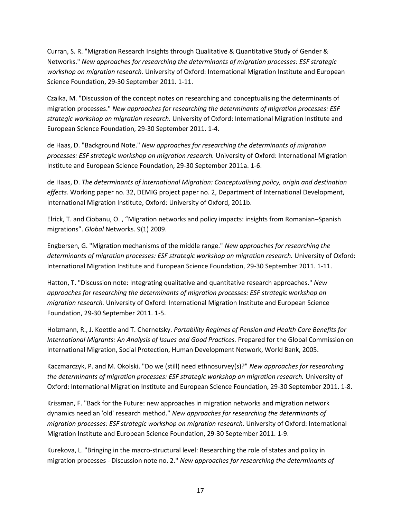Curran, S. R. "Migration Research Insights through Qualitative & Quantitative Study of Gender & Networks." *New approaches for researching the determinants of migration processes: ESF strategic workshop on migration research.* University of Oxford: International Migration Institute and European Science Foundation, 29-30 September 2011. 1-11.

Czaika, M. "Discussion of the concept notes on researching and conceptualising the determinants of migration processes." *New approaches for researching the determinants of migration processes: ESF strategic workshop on migration research.* University of Oxford: International Migration Institute and European Science Foundation, 29-30 September 2011. 1-4.

de Haas, D. "Background Note." *New approaches for researching the determinants of migration processes: ESF strategic workshop on migration research.* University of Oxford: International Migration Institute and European Science Foundation, 29-30 September 2011a. 1-6.

de Haas, D. *The determinants of international Migration: Conceptualising policy, origin and destination effects.* Working paper no. 32, DEMIG project paper no. 2, Department of International Development, International Migration Institute, Oxford: University of Oxford, 2011b.

Elrick, T. and Ciobanu, O. , "Migration networks and policy impacts: insights from Romanian–Spanish migrations". *Global* Networks. 9(1) 2009.

Engbersen, G. "Migration mechanisms of the middle range." *New approaches for researching the determinants of migration processes: ESF strategic workshop on migration research.* University of Oxford: International Migration Institute and European Science Foundation, 29-30 September 2011. 1-11.

Hatton, T. "Discussion note: Integrating qualitative and quantitative research approaches." *New approaches for researching the determinants of migration processes: ESF strategic workshop on migration research.* University of Oxford: International Migration Institute and European Science Foundation, 29-30 September 2011. 1-5.

Holzmann, R., J. Koettle and T. Chernetsky. *Portability Regimes of Pension and Health Care Benefits for International Migrants: An Analysis of Issues and Good Practices.* Prepared for the Global Commission on International Migration, Social Protection, Human Development Network, World Bank, 2005.

Kaczmarczyk, P. and M. Okolski. "Do we (still) need ethnosurvey(s)?" *New approaches for researching the determinants of migration processes: ESF strategic workshop on migration research.* University of Oxford: International Migration Institute and European Science Foundation, 29-30 September 2011. 1-8.

Krissman, F. "Back for the Future: new approaches in migration networks and migration network dynamics need an 'old' research method." *New approaches for researching the determinants of migration processes: ESF strategic workshop on migration research.* University of Oxford: International Migration Institute and European Science Foundation, 29-30 September 2011. 1-9.

Kurekova, L. "Bringing in the macro-structural level: Researching the role of states and policy in migration processes - Discussion note no. 2." *New approaches for researching the determinants of*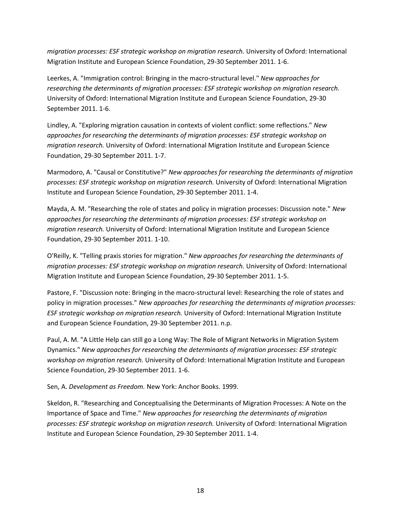*migration processes: ESF strategic workshop on migration research.* University of Oxford: International Migration Institute and European Science Foundation, 29-30 September 2011. 1-6.

Leerkes, A. "Immigration control: Bringing in the macro-structural level." *New approaches for researching the determinants of migration processes: ESF strategic workshop on migration research.* University of Oxford: International Migration Institute and European Science Foundation, 29-30 September 2011. 1-6.

Lindley, A. "Exploring migration causation in contexts of violent conflict: some reflections." *New approaches for researching the determinants of migration processes: ESF strategic workshop on migration research.* University of Oxford: International Migration Institute and European Science Foundation, 29-30 September 2011. 1-7.

Marmodoro, A. "Causal or Constitutive?" *New approaches for researching the determinants of migration processes: ESF strategic workshop on migration research.* University of Oxford: International Migration Institute and European Science Foundation, 29-30 September 2011. 1-4.

Mayda, A. M. "Researching the role of states and policy in migration processes: Discussion note." *New approaches for researching the determinants of migration processes: ESF strategic workshop on migration research.* University of Oxford: International Migration Institute and European Science Foundation, 29-30 September 2011. 1-10.

O'Reilly, K. "Telling praxis stories for migration." *New approaches for researching the determinants of migration processes: ESF strategic workshop on migration research.* University of Oxford: International Migration Institute and European Science Foundation, 29-30 September 2011. 1-5.

Pastore, F. "Discussion note: Bringing in the macro-structural level: Researching the role of states and policy in migration processes." *New approaches for researching the determinants of migration processes: ESF strategic workshop on migration research.* University of Oxford: International Migration Institute and European Science Foundation, 29-30 September 2011. n.p.

Paul, A. M. "A Little Help can still go a Long Way: The Role of Migrant Networks in Migration System Dynamics." *New approaches for researching the determinants of migration processes: ESF strategic workshop on migration research.* University of Oxford: International Migration Institute and European Science Foundation, 29-30 September 2011. 1-6.

Sen, A. *Development as Freedom.* New York: Anchor Books. 1999.

Skeldon, R. "Researching and Conceptualising the Determinants of Migration Processes: A Note on the Importance of Space and Time." *New approaches for researching the determinants of migration processes: ESF strategic workshop on migration research.* University of Oxford: International Migration Institute and European Science Foundation, 29-30 September 2011. 1-4.